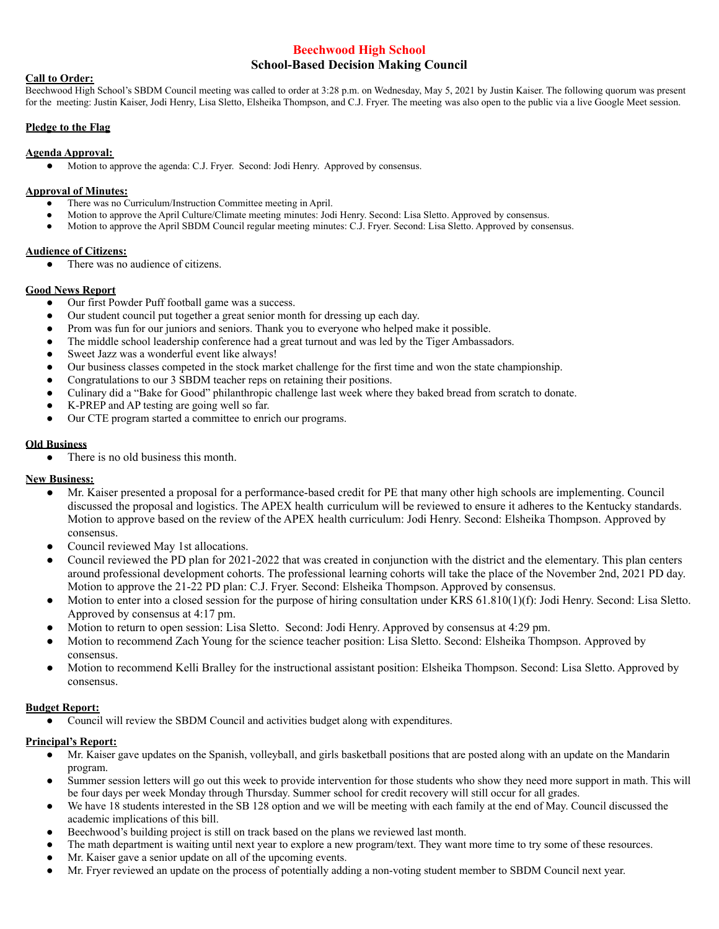# **Beechwood High School School-Based Decision Making Council**

### **Call to Order:**

Beechwood High School's SBDM Council meeting was called to order at 3:28 p.m. on Wednesday, May 5, 2021 by Justin Kaiser. The following quorum was present for the meeting: Justin Kaiser, Jodi Henry, Lisa Sletto, Elsheika Thompson, and C.J. Fryer. The meeting was also open to the public via a live Google Meet session.

## **Pledge to the Flag**

### **Agenda Approval:**

● Motion to approve the agenda: C.J. Fryer. Second: Jodi Henry. Approved by consensus.

#### **Approval of Minutes:**

- There was no Curriculum/Instruction Committee meeting in April.
- Motion to approve the April Culture/Climate meeting minutes: Jodi Henry. Second: Lisa Sletto. Approved by consensus.
- Motion to approve the April SBDM Council regular meeting minutes: C.J. Fryer. Second: Lisa Sletto. Approved by consensus.

### **Audience of Citizens:**

• There was no audience of citizens.

## **Good News Report**

- Our first Powder Puff football game was a success.
- Our student council put together a great senior month for dressing up each day.
- Prom was fun for our juniors and seniors. Thank you to everyone who helped make it possible.
- The middle school leadership conference had a great turnout and was led by the Tiger Ambassadors.
- Sweet Jazz was a wonderful event like always!
- Our business classes competed in the stock market challenge for the first time and won the state championship.
- Congratulations to our 3 SBDM teacher reps on retaining their positions.
- Culinary did a "Bake for Good" philanthropic challenge last week where they baked bread from scratch to donate.
- K-PREP and AP testing are going well so far.
- Our CTE program started a committee to enrich our programs.

## **Old Business**

• There is no old business this month.

# **New Business:**

- Mr. Kaiser presented a proposal for a performance-based credit for PE that many other high schools are implementing. Council discussed the proposal and logistics. The APEX health curriculum will be reviewed to ensure it adheres to the Kentucky standards. Motion to approve based on the review of the APEX health curriculum: Jodi Henry. Second: Elsheika Thompson. Approved by consensus.
- Council reviewed May 1st allocations.
- Council reviewed the PD plan for 2021-2022 that was created in conjunction with the district and the elementary. This plan centers around professional development cohorts. The professional learning cohorts will take the place of the November 2nd, 2021 PD day. Motion to approve the 21-22 PD plan: C.J. Fryer. Second: Elsheika Thompson. Approved by consensus.
- Motion to enter into a closed session for the purpose of hiring consultation under KRS  $61.810(1)(f)$ : Jodi Henry. Second: Lisa Sletto. Approved by consensus at 4:17 pm.
- Motion to return to open session: Lisa Sletto. Second: Jodi Henry. Approved by consensus at 4:29 pm.
- Motion to recommend Zach Young for the science teacher position: Lisa Sletto. Second: Elsheika Thompson. Approved by consensus.
- Motion to recommend Kelli Bralley for the instructional assistant position: Elsheika Thompson. Second: Lisa Sletto. Approved by consensus.

# **Budget Report:**

Council will review the SBDM Council and activities budget along with expenditures.

# **Principal's Report:**

- Mr. Kaiser gave updates on the Spanish, volleyball, and girls basketball positions that are posted along with an update on the Mandarin program.
- Summer session letters will go out this week to provide intervention for those students who show they need more support in math. This will be four days per week Monday through Thursday. Summer school for credit recovery will still occur for all grades.
- We have 18 students interested in the SB 128 option and we will be meeting with each family at the end of May. Council discussed the academic implications of this bill.
- Beechwood's building project is still on track based on the plans we reviewed last month.
- The math department is waiting until next year to explore a new program/text. They want more time to try some of these resources.
- Mr. Kaiser gave a senior update on all of the upcoming events.
- Mr. Fryer reviewed an update on the process of potentially adding a non-voting student member to SBDM Council next year.